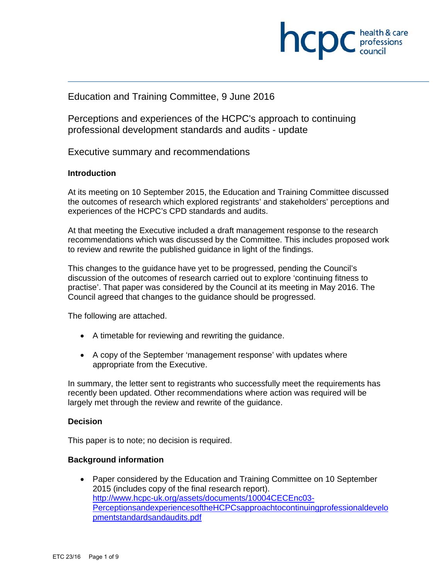

# Education and Training Committee, 9 June 2016

Perceptions and experiences of the HCPC's approach to continuing professional development standards and audits - update

Executive summary and recommendations

# **Introduction**

At its meeting on 10 September 2015, the Education and Training Committee discussed the outcomes of research which explored registrants' and stakeholders' perceptions and experiences of the HCPC's CPD standards and audits.

At that meeting the Executive included a draft management response to the research recommendations which was discussed by the Committee. This includes proposed work to review and rewrite the published guidance in light of the findings.

This changes to the guidance have yet to be progressed, pending the Council's discussion of the outcomes of research carried out to explore 'continuing fitness to practise'. That paper was considered by the Council at its meeting in May 2016. The Council agreed that changes to the guidance should be progressed.

The following are attached.

- A timetable for reviewing and rewriting the guidance.
- A copy of the September 'management response' with updates where appropriate from the Executive.

In summary, the letter sent to registrants who successfully meet the requirements has recently been updated. Other recommendations where action was required will be largely met through the review and rewrite of the guidance.

#### **Decision**

This paper is to note; no decision is required.

#### **Background information**

 Paper considered by the Education and Training Committee on 10 September 2015 (includes copy of the final research report). http://www.hcpc-uk.org/assets/documents/10004CECEnc03- PerceptionsandexperiencesoftheHCPCsapproachtocontinuingprofessionaldevelo pmentstandardsandaudits.pdf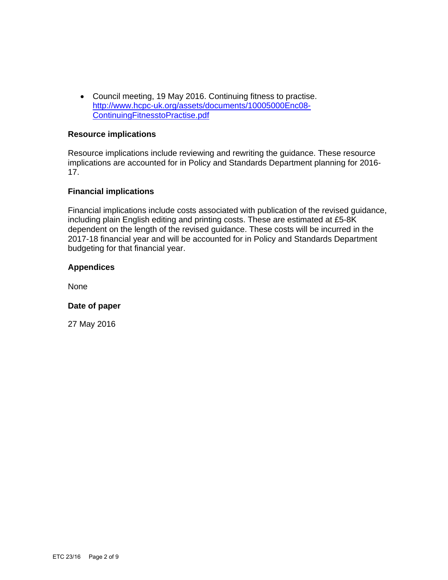Council meeting, 19 May 2016. Continuing fitness to practise. http://www.hcpc-uk.org/assets/documents/10005000Enc08- ContinuingFitnesstoPractise.pdf

#### **Resource implications**

Resource implications include reviewing and rewriting the guidance. These resource implications are accounted for in Policy and Standards Department planning for 2016- 17.

# **Financial implications**

Financial implications include costs associated with publication of the revised guidance, including plain English editing and printing costs. These are estimated at £5-8K dependent on the length of the revised guidance. These costs will be incurred in the 2017-18 financial year and will be accounted for in Policy and Standards Department budgeting for that financial year.

# **Appendices**

None

#### **Date of paper**

27 May 2016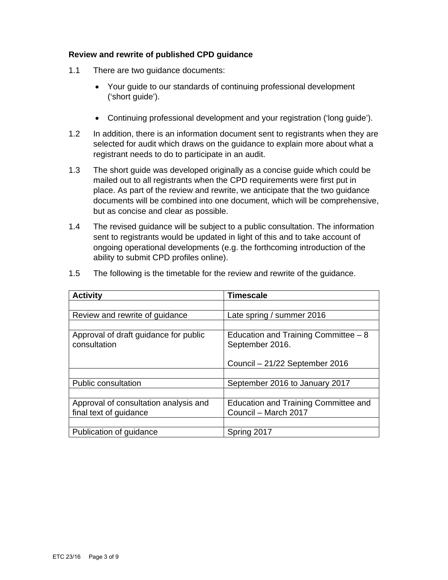# **Review and rewrite of published CPD guidance**

- 1.1 There are two guidance documents:
	- Your guide to our standards of continuing professional development ('short guide').
	- Continuing professional development and your registration ('long guide').
- 1.2 In addition, there is an information document sent to registrants when they are selected for audit which draws on the guidance to explain more about what a registrant needs to do to participate in an audit.
- 1.3 The short guide was developed originally as a concise guide which could be mailed out to all registrants when the CPD requirements were first put in place. As part of the review and rewrite, we anticipate that the two guidance documents will be combined into one document, which will be comprehensive, but as concise and clear as possible.
- 1.4 The revised guidance will be subject to a public consultation. The information sent to registrants would be updated in light of this and to take account of ongoing operational developments (e.g. the forthcoming introduction of the ability to submit CPD profiles online).

| <b>Activity</b>                                                 | <b>Timescale</b>                                             |
|-----------------------------------------------------------------|--------------------------------------------------------------|
|                                                                 |                                                              |
| Review and rewrite of guidance                                  | Late spring / summer 2016                                    |
|                                                                 |                                                              |
| Approval of draft guidance for public<br>consultation           | Education and Training Committee $-8$<br>September 2016.     |
|                                                                 | Council - 21/22 September 2016                               |
|                                                                 |                                                              |
| <b>Public consultation</b>                                      | September 2016 to January 2017                               |
|                                                                 |                                                              |
| Approval of consultation analysis and<br>final text of guidance | Education and Training Committee and<br>Council - March 2017 |
|                                                                 |                                                              |
| Publication of guidance                                         | Spring 2017                                                  |

1.5 The following is the timetable for the review and rewrite of the guidance.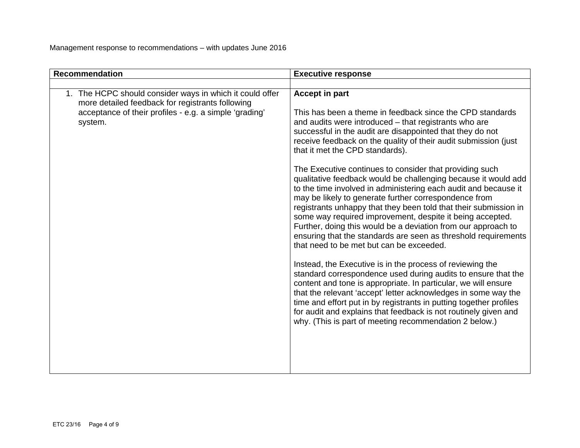| <b>Recommendation</b>                                                                                                                                                             | <b>Executive response</b>                                                                                                                                                                                                                                                                                                                                                                                                                                                                                                                                                                                                                                                                                                                                                                                                                                                                                                                                                                                                                                                                                                                                                                                                                                                                                                                                    |
|-----------------------------------------------------------------------------------------------------------------------------------------------------------------------------------|--------------------------------------------------------------------------------------------------------------------------------------------------------------------------------------------------------------------------------------------------------------------------------------------------------------------------------------------------------------------------------------------------------------------------------------------------------------------------------------------------------------------------------------------------------------------------------------------------------------------------------------------------------------------------------------------------------------------------------------------------------------------------------------------------------------------------------------------------------------------------------------------------------------------------------------------------------------------------------------------------------------------------------------------------------------------------------------------------------------------------------------------------------------------------------------------------------------------------------------------------------------------------------------------------------------------------------------------------------------|
|                                                                                                                                                                                   |                                                                                                                                                                                                                                                                                                                                                                                                                                                                                                                                                                                                                                                                                                                                                                                                                                                                                                                                                                                                                                                                                                                                                                                                                                                                                                                                                              |
| 1. The HCPC should consider ways in which it could offer<br>more detailed feedback for registrants following<br>acceptance of their profiles - e.g. a simple 'grading'<br>system. | <b>Accept in part</b><br>This has been a theme in feedback since the CPD standards<br>and audits were introduced – that registrants who are<br>successful in the audit are disappointed that they do not<br>receive feedback on the quality of their audit submission (just<br>that it met the CPD standards).<br>The Executive continues to consider that providing such<br>qualitative feedback would be challenging because it would add<br>to the time involved in administering each audit and because it<br>may be likely to generate further correspondence from<br>registrants unhappy that they been told that their submission in<br>some way required improvement, despite it being accepted.<br>Further, doing this would be a deviation from our approach to<br>ensuring that the standards are seen as threshold requirements<br>that need to be met but can be exceeded.<br>Instead, the Executive is in the process of reviewing the<br>standard correspondence used during audits to ensure that the<br>content and tone is appropriate. In particular, we will ensure<br>that the relevant 'accept' letter acknowledges in some way the<br>time and effort put in by registrants in putting together profiles<br>for audit and explains that feedback is not routinely given and<br>why. (This is part of meeting recommendation 2 below.) |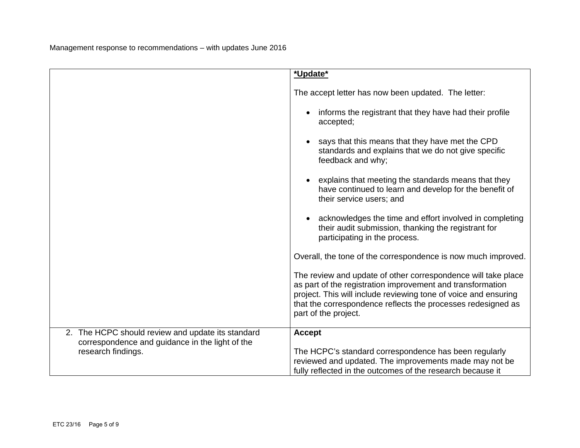|                                                                                                      | *Update*                                                                                                                                                                                                                                                                               |
|------------------------------------------------------------------------------------------------------|----------------------------------------------------------------------------------------------------------------------------------------------------------------------------------------------------------------------------------------------------------------------------------------|
|                                                                                                      | The accept letter has now been updated. The letter:                                                                                                                                                                                                                                    |
|                                                                                                      | informs the registrant that they have had their profile<br>accepted;                                                                                                                                                                                                                   |
|                                                                                                      | says that this means that they have met the CPD<br>standards and explains that we do not give specific<br>feedback and why;                                                                                                                                                            |
|                                                                                                      | explains that meeting the standards means that they<br>have continued to learn and develop for the benefit of<br>their service users; and                                                                                                                                              |
|                                                                                                      | acknowledges the time and effort involved in completing<br>their audit submission, thanking the registrant for<br>participating in the process.                                                                                                                                        |
|                                                                                                      | Overall, the tone of the correspondence is now much improved.                                                                                                                                                                                                                          |
|                                                                                                      | The review and update of other correspondence will take place<br>as part of the registration improvement and transformation<br>project. This will include reviewing tone of voice and ensuring<br>that the correspondence reflects the processes redesigned as<br>part of the project. |
| 2. The HCPC should review and update its standard<br>correspondence and guidance in the light of the | <b>Accept</b>                                                                                                                                                                                                                                                                          |
| research findings.                                                                                   | The HCPC's standard correspondence has been regularly<br>reviewed and updated. The improvements made may not be<br>fully reflected in the outcomes of the research because it                                                                                                          |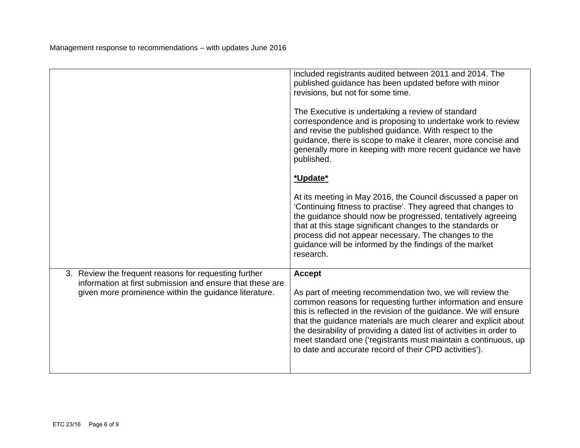|                                                                                                                    | included registrants audited between 2011 and 2014. The<br>published guidance has been updated before with minor<br>revisions, but not for some time.                                                                                                                                                                                                                                                                                                                 |
|--------------------------------------------------------------------------------------------------------------------|-----------------------------------------------------------------------------------------------------------------------------------------------------------------------------------------------------------------------------------------------------------------------------------------------------------------------------------------------------------------------------------------------------------------------------------------------------------------------|
|                                                                                                                    | The Executive is undertaking a review of standard<br>correspondence and is proposing to undertake work to review<br>and revise the published guidance. With respect to the<br>guidance, there is scope to make it clearer, more concise and<br>generally more in keeping with more recent guidance we have<br>published.                                                                                                                                              |
|                                                                                                                    | *Update*                                                                                                                                                                                                                                                                                                                                                                                                                                                              |
|                                                                                                                    | At its meeting in May 2016, the Council discussed a paper on<br>'Continuing fitness to practise'. They agreed that changes to<br>the guidance should now be progressed, tentatively agreeing<br>that at this stage significant changes to the standards or<br>process did not appear necessary. The changes to the<br>guidance will be informed by the findings of the market<br>research.                                                                            |
| 3. Review the frequent reasons for requesting further<br>information at first submission and ensure that these are | <b>Accept</b>                                                                                                                                                                                                                                                                                                                                                                                                                                                         |
| given more prominence within the guidance literature.                                                              | As part of meeting recommendation two, we will review the<br>common reasons for requesting further information and ensure<br>this is reflected in the revision of the guidance. We will ensure<br>that the guidance materials are much clearer and explicit about<br>the desirability of providing a dated list of activities in order to<br>meet standard one ('registrants must maintain a continuous, up<br>to date and accurate record of their CPD activities'). |
|                                                                                                                    |                                                                                                                                                                                                                                                                                                                                                                                                                                                                       |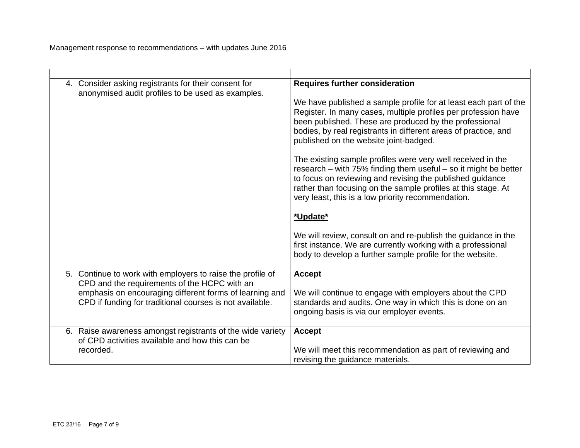| 4. Consider asking registrants for their consent for<br>anonymised audit profiles to be used as examples. | <b>Requires further consideration</b><br>We have published a sample profile for at least each part of the<br>Register. In many cases, multiple profiles per profession have<br>been published. These are produced by the professional<br>bodies, by real registrants in different areas of practice, and<br>published on the website joint-badged.<br>The existing sample profiles were very well received in the<br>research – with 75% finding them useful – so it might be better<br>to focus on reviewing and revising the published guidance<br>rather than focusing on the sample profiles at this stage. At<br>very least, this is a low priority recommendation.<br>*Update*<br>We will review, consult on and re-publish the guidance in the<br>first instance. We are currently working with a professional<br>body to develop a further sample profile for the website. |
|-----------------------------------------------------------------------------------------------------------|------------------------------------------------------------------------------------------------------------------------------------------------------------------------------------------------------------------------------------------------------------------------------------------------------------------------------------------------------------------------------------------------------------------------------------------------------------------------------------------------------------------------------------------------------------------------------------------------------------------------------------------------------------------------------------------------------------------------------------------------------------------------------------------------------------------------------------------------------------------------------------|
| 5. Continue to work with employers to raise the profile of                                                | <b>Accept</b>                                                                                                                                                                                                                                                                                                                                                                                                                                                                                                                                                                                                                                                                                                                                                                                                                                                                      |
| CPD and the requirements of the HCPC with an                                                              | We will continue to engage with employers about the CPD                                                                                                                                                                                                                                                                                                                                                                                                                                                                                                                                                                                                                                                                                                                                                                                                                            |
| emphasis on encouraging different forms of learning and                                                   | standards and audits. One way in which this is done on an                                                                                                                                                                                                                                                                                                                                                                                                                                                                                                                                                                                                                                                                                                                                                                                                                          |
| CPD if funding for traditional courses is not available.                                                  | ongoing basis is via our employer events.                                                                                                                                                                                                                                                                                                                                                                                                                                                                                                                                                                                                                                                                                                                                                                                                                                          |
| 6. Raise awareness amongst registrants of the wide variety                                                | <b>Accept</b>                                                                                                                                                                                                                                                                                                                                                                                                                                                                                                                                                                                                                                                                                                                                                                                                                                                                      |
| of CPD activities available and how this can be                                                           | We will meet this recommendation as part of reviewing and                                                                                                                                                                                                                                                                                                                                                                                                                                                                                                                                                                                                                                                                                                                                                                                                                          |
| recorded.                                                                                                 | revising the guidance materials.                                                                                                                                                                                                                                                                                                                                                                                                                                                                                                                                                                                                                                                                                                                                                                                                                                                   |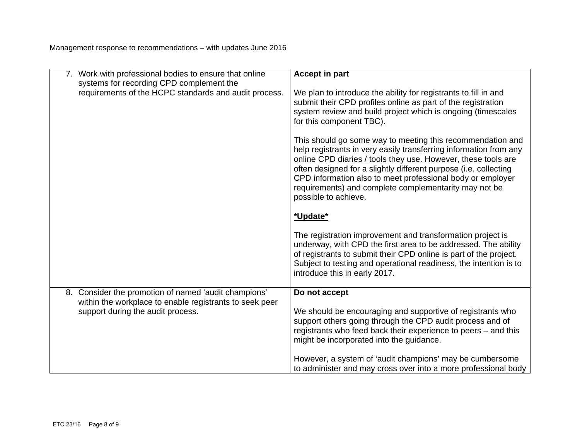|                                                                                              | 7. Work with professional bodies to ensure that online<br>systems for recording CPD complement the                                                                                                                                                                                                                                                                                                                  | <b>Accept in part</b>                                                                                                                                                                                                                                                                                   |
|----------------------------------------------------------------------------------------------|---------------------------------------------------------------------------------------------------------------------------------------------------------------------------------------------------------------------------------------------------------------------------------------------------------------------------------------------------------------------------------------------------------------------|---------------------------------------------------------------------------------------------------------------------------------------------------------------------------------------------------------------------------------------------------------------------------------------------------------|
| requirements of the HCPC standards and audit process.                                        | We plan to introduce the ability for registrants to fill in and<br>submit their CPD profiles online as part of the registration<br>system review and build project which is ongoing (timescales<br>for this component TBC).                                                                                                                                                                                         |                                                                                                                                                                                                                                                                                                         |
|                                                                                              | This should go some way to meeting this recommendation and<br>help registrants in very easily transferring information from any<br>online CPD diaries / tools they use. However, these tools are<br>often designed for a slightly different purpose (i.e. collecting<br>CPD information also to meet professional body or employer<br>requirements) and complete complementarity may not be<br>possible to achieve. |                                                                                                                                                                                                                                                                                                         |
|                                                                                              |                                                                                                                                                                                                                                                                                                                                                                                                                     | *Update*                                                                                                                                                                                                                                                                                                |
|                                                                                              |                                                                                                                                                                                                                                                                                                                                                                                                                     | The registration improvement and transformation project is<br>underway, with CPD the first area to be addressed. The ability<br>of registrants to submit their CPD online is part of the project.<br>Subject to testing and operational readiness, the intention is to<br>introduce this in early 2017. |
|                                                                                              | 8. Consider the promotion of named 'audit champions'                                                                                                                                                                                                                                                                                                                                                                | Do not accept                                                                                                                                                                                                                                                                                           |
| within the workplace to enable registrants to seek peer<br>support during the audit process. | We should be encouraging and supportive of registrants who<br>support others going through the CPD audit process and of<br>registrants who feed back their experience to peers – and this<br>might be incorporated into the guidance.                                                                                                                                                                               |                                                                                                                                                                                                                                                                                                         |
|                                                                                              |                                                                                                                                                                                                                                                                                                                                                                                                                     | However, a system of 'audit champions' may be cumbersome<br>to administer and may cross over into a more professional body                                                                                                                                                                              |